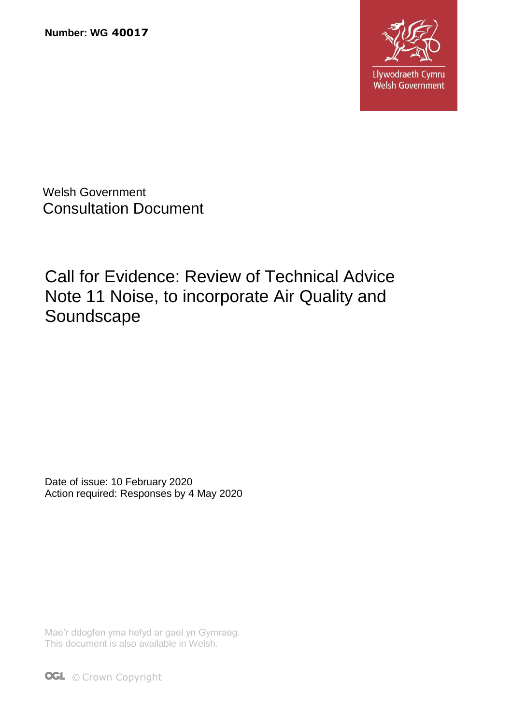**Number: WG 40017**



Welsh Government Consultation Document

Call for Evidence: Review of Technical Advice Note 11 Noise, to incorporate Air Quality and Soundscape

Date of issue: 10 February 2020 Action required: Responses by 4 May 2020

Mae'r ddogfen yma hefyd ar gael yn Gymraeg. This document is also available in Welsh.

**OGL** © Crown Copyright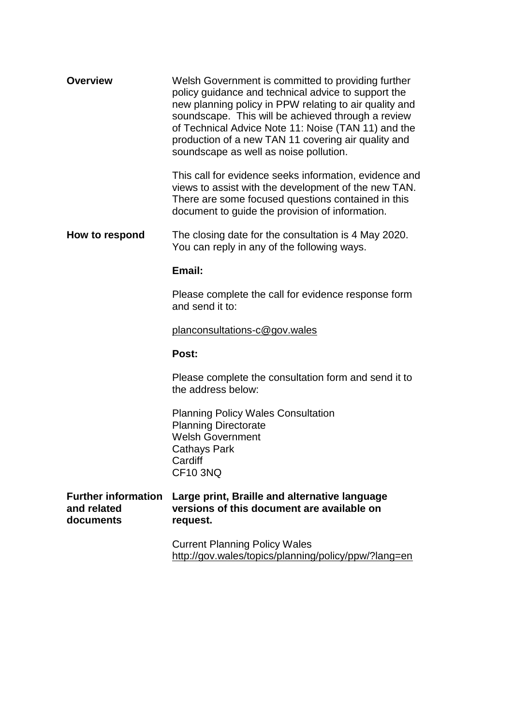| <b>Overview</b>                                        | Welsh Government is committed to providing further<br>policy guidance and technical advice to support the<br>new planning policy in PPW relating to air quality and<br>soundscape. This will be achieved through a review<br>of Technical Advice Note 11: Noise (TAN 11) and the<br>production of a new TAN 11 covering air quality and<br>soundscape as well as noise pollution. |
|--------------------------------------------------------|-----------------------------------------------------------------------------------------------------------------------------------------------------------------------------------------------------------------------------------------------------------------------------------------------------------------------------------------------------------------------------------|
|                                                        | This call for evidence seeks information, evidence and<br>views to assist with the development of the new TAN.<br>There are some focused questions contained in this<br>document to guide the provision of information.                                                                                                                                                           |
| How to respond                                         | The closing date for the consultation is 4 May 2020.<br>You can reply in any of the following ways.                                                                                                                                                                                                                                                                               |
|                                                        | Email:                                                                                                                                                                                                                                                                                                                                                                            |
|                                                        | Please complete the call for evidence response form<br>and send it to:                                                                                                                                                                                                                                                                                                            |
|                                                        | planconsultations-c@gov.wales                                                                                                                                                                                                                                                                                                                                                     |
|                                                        | Post:                                                                                                                                                                                                                                                                                                                                                                             |
|                                                        | Please complete the consultation form and send it to<br>the address below:                                                                                                                                                                                                                                                                                                        |
|                                                        | <b>Planning Policy Wales Consultation</b><br><b>Planning Directorate</b><br><b>Welsh Government</b><br>Cathays Park<br>Cardiff<br><b>CF10 3NQ</b>                                                                                                                                                                                                                                 |
| <b>Further information</b><br>and related<br>documents | Large print, Braille and alternative language<br>versions of this document are available on<br>request.                                                                                                                                                                                                                                                                           |
|                                                        | <b>Current Planning Policy Wales</b><br>http://gov.wales/topics/planning/policy/ppw/?lang=en                                                                                                                                                                                                                                                                                      |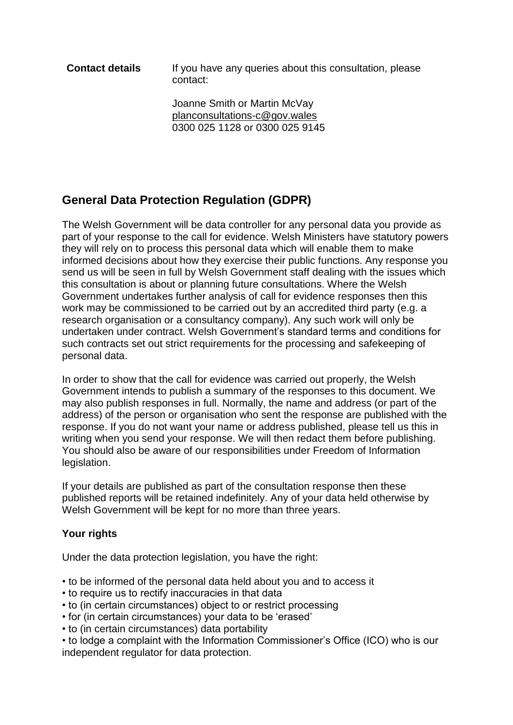**Contact details** If you have any queries about this consultation, please contact:

> Joanne Smith or Martin McVay [planconsultations-c@gov.wales](mailto:planconsultations-c@gov.wales) 0300 025 1128 or 0300 025 9145

# **General Data Protection Regulation (GDPR)**

The Welsh Government will be data controller for any personal data you provide as part of your response to the call for evidence. Welsh Ministers have statutory powers they will rely on to process this personal data which will enable them to make informed decisions about how they exercise their public functions. Any response you send us will be seen in full by Welsh Government staff dealing with the issues which this consultation is about or planning future consultations. Where the Welsh Government undertakes further analysis of call for evidence responses then this work may be commissioned to be carried out by an accredited third party (e.g. a research organisation or a consultancy company). Any such work will only be undertaken under contract. Welsh Government's standard terms and conditions for such contracts set out strict requirements for the processing and safekeeping of personal data.

In order to show that the call for evidence was carried out properly, the Welsh Government intends to publish a summary of the responses to this document. We may also publish responses in full. Normally, the name and address (or part of the address) of the person or organisation who sent the response are published with the response. If you do not want your name or address published, please tell us this in writing when you send your response. We will then redact them before publishing. You should also be aware of our responsibilities under Freedom of Information legislation.

If your details are published as part of the consultation response then these published reports will be retained indefinitely. Any of your data held otherwise by Welsh Government will be kept for no more than three years.

#### **Your rights**

Under the data protection legislation, you have the right:

- to be informed of the personal data held about you and to access it
- to require us to rectify inaccuracies in that data
- to (in certain circumstances) object to or restrict processing
- for (in certain circumstances) your data to be 'erased'
- to (in certain circumstances) data portability

• to lodge a complaint with the Information Commissioner's Office (ICO) who is our independent regulator for data protection.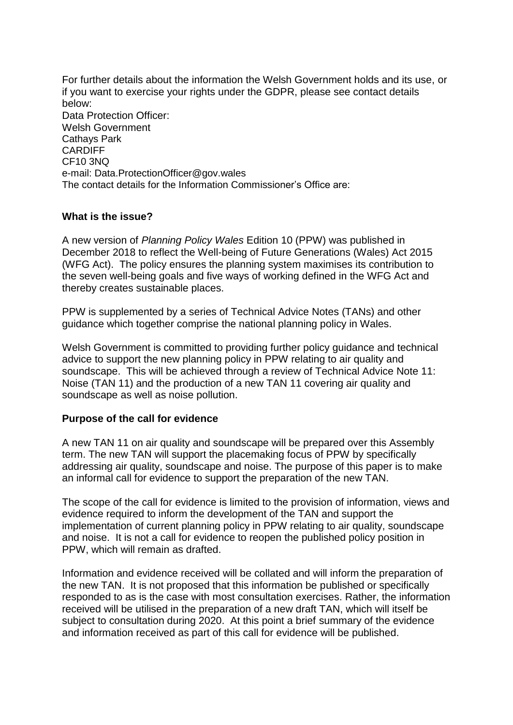For further details about the information the Welsh Government holds and its use, or if you want to exercise your rights under the GDPR, please see contact details below: Data Protection Officer: Welsh Government Cathays Park CARDIFF CF10 3NQ e-mail: Data.ProtectionOfficer@gov.wales The contact details for the Information Commissioner's Office are:

#### **What is the issue?**

A new version of *Planning Policy Wales* Edition 10 (PPW) was published in December 2018 to reflect the Well-being of Future Generations (Wales) Act 2015 (WFG Act). The policy ensures the planning system maximises its contribution to the seven well-being goals and five ways of working defined in the WFG Act and thereby creates sustainable places.

PPW is supplemented by a series of Technical Advice Notes (TANs) and other guidance which together comprise the national planning policy in Wales.

Welsh Government is committed to providing further policy guidance and technical advice to support the new planning policy in PPW relating to air quality and soundscape. This will be achieved through a review of Technical Advice Note 11: Noise (TAN 11) and the production of a new TAN 11 covering air quality and soundscape as well as noise pollution.

#### **Purpose of the call for evidence**

A new TAN 11 on air quality and soundscape will be prepared over this Assembly term. The new TAN will support the placemaking focus of PPW by specifically addressing air quality, soundscape and noise. The purpose of this paper is to make an informal call for evidence to support the preparation of the new TAN.

The scope of the call for evidence is limited to the provision of information, views and evidence required to inform the development of the TAN and support the implementation of current planning policy in PPW relating to air quality, soundscape and noise. It is not a call for evidence to reopen the published policy position in PPW, which will remain as drafted.

Information and evidence received will be collated and will inform the preparation of the new TAN. It is not proposed that this information be published or specifically responded to as is the case with most consultation exercises. Rather, the information received will be utilised in the preparation of a new draft TAN, which will itself be subject to consultation during 2020. At this point a brief summary of the evidence and information received as part of this call for evidence will be published.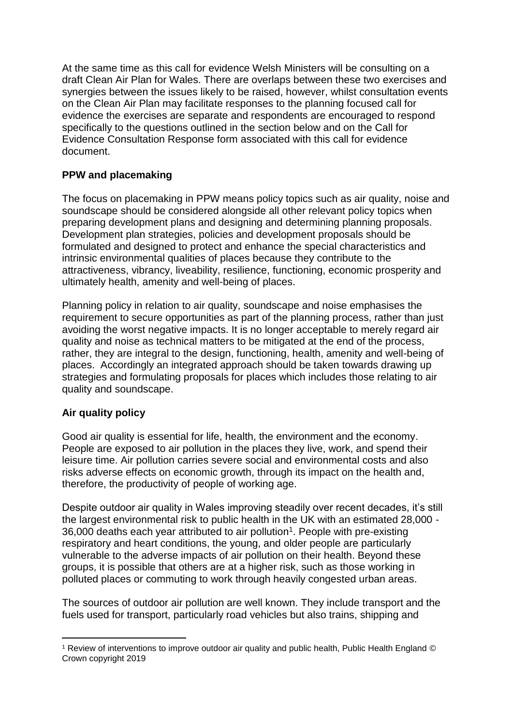At the same time as this call for evidence Welsh Ministers will be consulting on a draft Clean Air Plan for Wales. There are overlaps between these two exercises and synergies between the issues likely to be raised, however, whilst consultation events on the Clean Air Plan may facilitate responses to the planning focused call for evidence the exercises are separate and respondents are encouraged to respond specifically to the questions outlined in the section below and on the Call for Evidence Consultation Response form associated with this call for evidence document.

# **PPW and placemaking**

The focus on placemaking in PPW means policy topics such as air quality, noise and soundscape should be considered alongside all other relevant policy topics when preparing development plans and designing and determining planning proposals. Development plan strategies, policies and development proposals should be formulated and designed to protect and enhance the special characteristics and intrinsic environmental qualities of places because they contribute to the attractiveness, vibrancy, liveability, resilience, functioning, economic prosperity and ultimately health, amenity and well-being of places.

Planning policy in relation to air quality, soundscape and noise emphasises the requirement to secure opportunities as part of the planning process, rather than just avoiding the worst negative impacts. It is no longer acceptable to merely regard air quality and noise as technical matters to be mitigated at the end of the process, rather, they are integral to the design, functioning, health, amenity and well-being of places. Accordingly an integrated approach should be taken towards drawing up strategies and formulating proposals for places which includes those relating to air quality and soundscape.

# **Air quality policy**

Good air quality is essential for life, health, the environment and the economy. People are exposed to air pollution in the places they live, work, and spend their leisure time. Air pollution carries severe social and environmental costs and also risks adverse effects on economic growth, through its impact on the health and, therefore, the productivity of people of working age.

Despite outdoor air quality in Wales improving steadily over recent decades, it's still the largest environmental risk to public health in the UK with an estimated 28,000 -  $36,000$  deaths each year attributed to air pollution<sup>1</sup>. People with pre-existing respiratory and heart conditions, the young, and older people are particularly vulnerable to the adverse impacts of air pollution on their health. Beyond these groups, it is possible that others are at a higher risk, such as those working in polluted places or commuting to work through heavily congested urban areas.

The sources of outdoor air pollution are well known. They include transport and the fuels used for transport, particularly road vehicles but also trains, shipping and

<sup>-</sup><sup>1</sup> Review of interventions to improve outdoor air quality and public health, Public Health England © Crown copyright 2019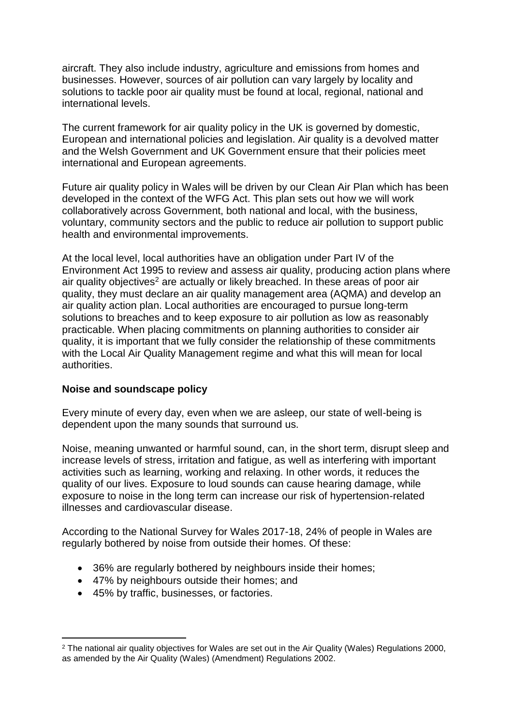aircraft. They also include industry, agriculture and emissions from homes and businesses. However, sources of air pollution can vary largely by locality and solutions to tackle poor air quality must be found at local, regional, national and international levels.

The current framework for air quality policy in the UK is governed by domestic, European and international policies and legislation. Air quality is a devolved matter and the Welsh Government and UK Government ensure that their policies meet international and European agreements.

Future air quality policy in Wales will be driven by our Clean Air Plan which has been developed in the context of the WFG Act. This plan sets out how we will work collaboratively across Government, both national and local, with the business, voluntary, community sectors and the public to reduce air pollution to support public health and environmental improvements.

At the local level, local authorities have an obligation under Part IV of the Environment Act 1995 to review and assess air quality, producing action plans where air quality objectives<sup>2</sup> are actually or likely breached. In these areas of poor air quality, they must declare an air quality management area (AQMA) and develop an air quality action plan. Local authorities are encouraged to pursue long-term solutions to breaches and to keep exposure to air pollution as low as reasonably practicable. When placing commitments on planning authorities to consider air quality, it is important that we fully consider the relationship of these commitments with the Local Air Quality Management regime and what this will mean for local authorities.

#### **Noise and soundscape policy**

Every minute of every day, even when we are asleep, our state of well-being is dependent upon the many sounds that surround us.

Noise, meaning unwanted or harmful sound, can, in the short term, disrupt sleep and increase levels of stress, irritation and fatigue, as well as interfering with important activities such as learning, working and relaxing. In other words, it reduces the quality of our lives. Exposure to loud sounds can cause hearing damage, while exposure to noise in the long term can increase our risk of hypertension-related illnesses and cardiovascular disease.

According to the National Survey for Wales 2017-18, 24% of people in Wales are regularly bothered by noise from outside their homes. Of these:

- 36% are regularly bothered by neighbours inside their homes;
- 47% by neighbours outside their homes; and
- 45% by traffic, businesses, or factories.

-

<sup>2</sup> The national air quality objectives for Wales are set out in the Air Quality (Wales) Regulations 2000, as amended by the Air Quality (Wales) (Amendment) Regulations 2002.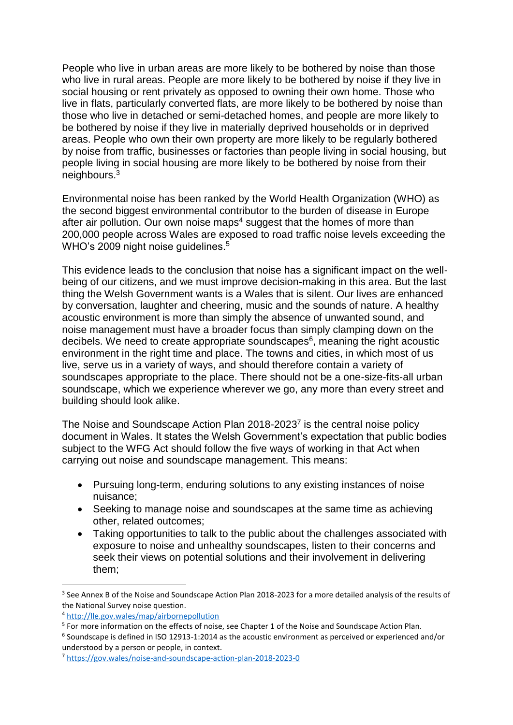People who live in urban areas are more likely to be bothered by noise than those who live in rural areas. People are more likely to be bothered by noise if they live in social housing or rent privately as opposed to owning their own home. Those who live in flats, particularly converted flats, are more likely to be bothered by noise than those who live in detached or semi-detached homes, and people are more likely to be bothered by noise if they live in materially deprived households or in deprived areas. People who own their own property are more likely to be regularly bothered by noise from traffic, businesses or factories than people living in social housing, but people living in social housing are more likely to be bothered by noise from their neighbours. 3

Environmental noise has been ranked by the World Health Organization (WHO) as the second biggest environmental contributor to the burden of disease in Europe after air pollution. Our own noise maps<sup>4</sup> suggest that the homes of more than 200,000 people across Wales are exposed to road traffic noise levels exceeding the WHO's 2009 night noise guidelines.<sup>5</sup>

This evidence leads to the conclusion that noise has a significant impact on the wellbeing of our citizens, and we must improve decision-making in this area. But the last thing the Welsh Government wants is a Wales that is silent. Our lives are enhanced by conversation, laughter and cheering, music and the sounds of nature. A healthy acoustic environment is more than simply the absence of unwanted sound, and noise management must have a broader focus than simply clamping down on the decibels. We need to create appropriate soundscapes<sup>6</sup>, meaning the right acoustic environment in the right time and place. The towns and cities, in which most of us live, serve us in a variety of ways, and should therefore contain a variety of soundscapes appropriate to the place. There should not be a one-size-fits-all urban soundscape, which we experience wherever we go, any more than every street and building should look alike.

The Noise and Soundscape Action Plan 2018-2023<sup>7</sup> is the central noise policy document in Wales. It states the Welsh Government's expectation that public bodies subject to the WFG Act should follow the five ways of working in that Act when carrying out noise and soundscape management. This means:

- Pursuing long-term, enduring solutions to any existing instances of noise nuisance;
- Seeking to manage noise and soundscapes at the same time as achieving other, related outcomes;
- Taking opportunities to talk to the public about the challenges associated with exposure to noise and unhealthy soundscapes, listen to their concerns and seek their views on potential solutions and their involvement in delivering them;

-

<sup>&</sup>lt;sup>3</sup> See Annex B of the Noise and Soundscape Action Plan 2018-2023 for a more detailed analysis of the results of the National Survey noise question.

<sup>4</sup> <http://lle.gov.wales/map/airbornepollution>

<sup>&</sup>lt;sup>5</sup> For more information on the effects of noise, see Chapter 1 of the Noise and Soundscape Action Plan.

<sup>&</sup>lt;sup>6</sup> Soundscape is defined in ISO 12913-1:2014 as the acoustic environment as perceived or experienced and/or understood by a person or people, in context.

<sup>7</sup> <https://gov.wales/noise-and-soundscape-action-plan-2018-2023-0>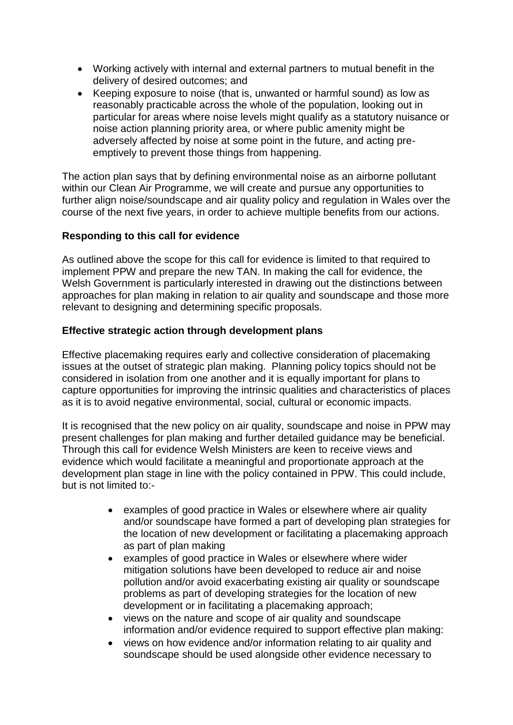- Working actively with internal and external partners to mutual benefit in the delivery of desired outcomes; and
- Keeping exposure to noise (that is, unwanted or harmful sound) as low as reasonably practicable across the whole of the population, looking out in particular for areas where noise levels might qualify as a statutory nuisance or noise action planning priority area, or where public amenity might be adversely affected by noise at some point in the future, and acting preemptively to prevent those things from happening.

The action plan says that by defining environmental noise as an airborne pollutant within our Clean Air Programme, we will create and pursue any opportunities to further align noise/soundscape and air quality policy and regulation in Wales over the course of the next five years, in order to achieve multiple benefits from our actions.

## **Responding to this call for evidence**

As outlined above the scope for this call for evidence is limited to that required to implement PPW and prepare the new TAN. In making the call for evidence, the Welsh Government is particularly interested in drawing out the distinctions between approaches for plan making in relation to air quality and soundscape and those more relevant to designing and determining specific proposals.

## **Effective strategic action through development plans**

Effective placemaking requires early and collective consideration of placemaking issues at the outset of strategic plan making. Planning policy topics should not be considered in isolation from one another and it is equally important for plans to capture opportunities for improving the intrinsic qualities and characteristics of places as it is to avoid negative environmental, social, cultural or economic impacts.

It is recognised that the new policy on air quality, soundscape and noise in PPW may present challenges for plan making and further detailed guidance may be beneficial. Through this call for evidence Welsh Ministers are keen to receive views and evidence which would facilitate a meaningful and proportionate approach at the development plan stage in line with the policy contained in PPW. This could include, but is not limited to:-

- examples of good practice in Wales or elsewhere where air quality and/or soundscape have formed a part of developing plan strategies for the location of new development or facilitating a placemaking approach as part of plan making
- examples of good practice in Wales or elsewhere where wider mitigation solutions have been developed to reduce air and noise pollution and/or avoid exacerbating existing air quality or soundscape problems as part of developing strategies for the location of new development or in facilitating a placemaking approach;
- views on the nature and scope of air quality and soundscape information and/or evidence required to support effective plan making:
- views on how evidence and/or information relating to air quality and soundscape should be used alongside other evidence necessary to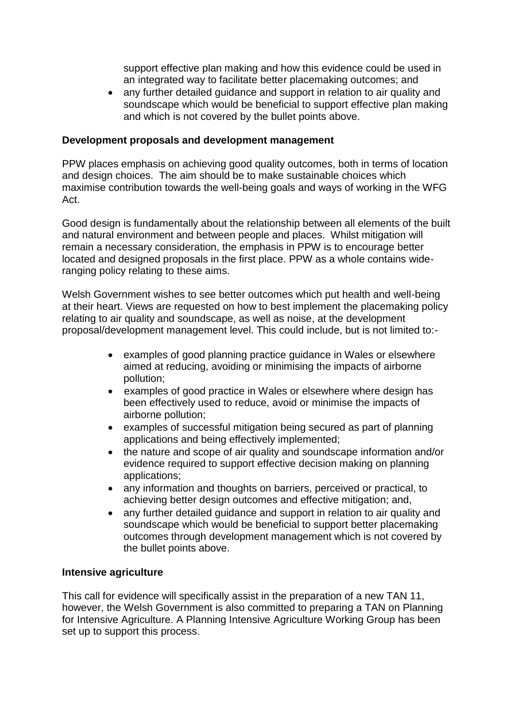support effective plan making and how this evidence could be used in an integrated way to facilitate better placemaking outcomes; and

 any further detailed guidance and support in relation to air quality and soundscape which would be beneficial to support effective plan making and which is not covered by the bullet points above.

#### **Development proposals and development management**

PPW places emphasis on achieving good quality outcomes, both in terms of location and design choices. The aim should be to make sustainable choices which maximise contribution towards the well-being goals and ways of working in the WFG Act.

Good design is fundamentally about the relationship between all elements of the built and natural environment and between people and places. Whilst mitigation will remain a necessary consideration, the emphasis in PPW is to encourage better located and designed proposals in the first place. PPW as a whole contains wideranging policy relating to these aims.

Welsh Government wishes to see better outcomes which put health and well-being at their heart. Views are requested on how to best implement the placemaking policy relating to air quality and soundscape, as well as noise, at the development proposal/development management level. This could include, but is not limited to:-

- examples of good planning practice guidance in Wales or elsewhere aimed at reducing, avoiding or minimising the impacts of airborne pollution;
- examples of good practice in Wales or elsewhere where design has been effectively used to reduce, avoid or minimise the impacts of airborne pollution;
- examples of successful mitigation being secured as part of planning applications and being effectively implemented;
- the nature and scope of air quality and soundscape information and/or evidence required to support effective decision making on planning applications;
- any information and thoughts on barriers, perceived or practical, to achieving better design outcomes and effective mitigation; and,
- any further detailed guidance and support in relation to air quality and soundscape which would be beneficial to support better placemaking outcomes through development management which is not covered by the bullet points above.

#### **Intensive agriculture**

This call for evidence will specifically assist in the preparation of a new TAN 11, however, the Welsh Government is also committed to preparing a TAN on Planning for Intensive Agriculture. A Planning Intensive Agriculture Working Group has been set up to support this process.